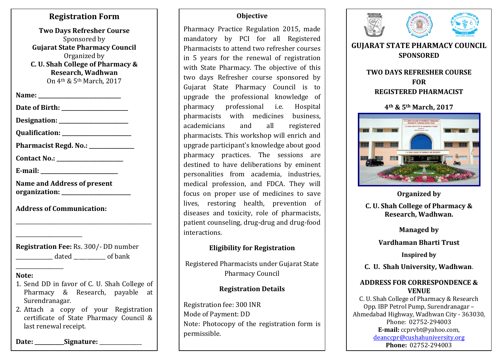# Registration Form

| <b>Two Days Refresher Course</b><br>Sponsored by<br><b>Gujarat State Pharmacy Council</b><br>Organized by<br>C. U. Shah College of Pharmacy &<br>Research, Wadhwan<br>On 4th & 5th March, 2017 |
|------------------------------------------------------------------------------------------------------------------------------------------------------------------------------------------------|
| <b>Name: ______________________</b>                                                                                                                                                            |
| Date of Birth: ____________________                                                                                                                                                            |
|                                                                                                                                                                                                |
| Qualification: _____________________                                                                                                                                                           |
| Pharmacist Regd. No.: ______________                                                                                                                                                           |
|                                                                                                                                                                                                |
| <b>E-mail:</b> _____________________                                                                                                                                                           |
| <b>Name and Address of present</b><br>organization: _______________                                                                                                                            |
| <b>Address of Communication:</b>                                                                                                                                                               |
|                                                                                                                                                                                                |
| Registration Fee: Rs. 300/- DD number<br>________________ dated ___________ of bank                                                                                                            |
| Note:                                                                                                                                                                                          |
| 1. Send DD in favor of C. U. Shah College of<br>Pharmacy & Research, payable at<br>Surendranagar.                                                                                              |
| 2. Attach a copy of your Registration<br>certificate of State Pharmacy Council &<br>last renewal receipt.                                                                                      |

Date: Signature:

## **Objective**

Pharmacy Practice Regulation 2015, made mandatory by PCI for all Registered Pharmacists to attend two refresher courses in 5 years for the renewal of registration with State Pharmacy. The objective of this two days Refresher course sponsored by Gujarat State Pharmacy Council is to upgrade the professional knowledge of pharmacy professional i.e. Hospital pharmacists with medicines business, academicians and all registered pharmacists. This workshop will enrich and upgrade participant's knowledge about good pharmacy practices. The sessions are destined to have deliberations by eminent personalities from academia, industries, medical profession, and FDCA. They will focus on proper use of medicines to save lives, restoring health, prevention of diseases and toxicity, role of pharmacists, patient counseling, drug-drug and drug-food interactions.

### Eligibility for Registration

Registered Pharmacists under Gujarat State Pharmacy Council

### Registration Details

Registration fee: 300 INR Mode of Payment: DD Note: Photocopy of the registration form is permissible.



Managed by

Vardhaman Bharti Trust

Inspired by

C. U. Shah University, Wadhwan.

### ADDRESS FOR CORRESPONDENCE & VENUE

 C. U. Shah College of Pharmacy & Research Opp. IBP Petrol Pump, Surendranagar – Ahmedabad Highway, Wadhwan City - 363030, Phone: 02752-294003 E-mail: ccprvbt@yahoo.com, deanccpr@cushahuniversity.orgPhone: 02752-294003